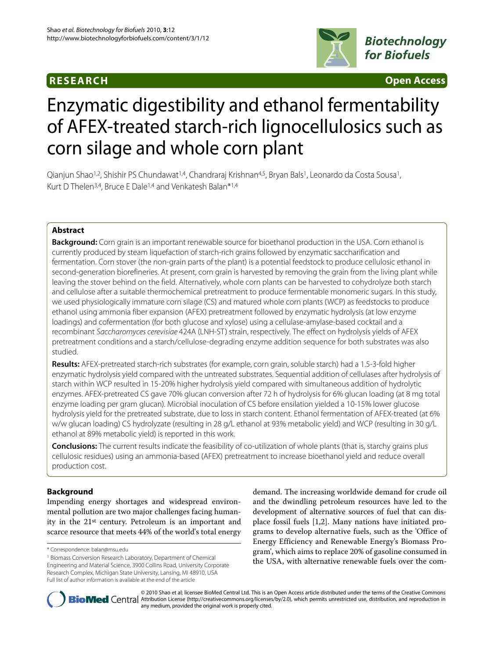# **RESEARCH Open Access**



# Enzymatic digestibility and ethanol fermentability of AFEX-treated starch-rich lignocellulosics such as corn silage and whole corn plant

Qianjun Shao<sup>1,2</sup>, Shishir PS Chundawat<sup>1,4</sup>, Chandraraj Krishnan<sup>4,5</sup>, Bryan Bals<sup>1</sup>, Leonardo da Costa Sousa<sup>1</sup>, Kurt D Thelen<sup>3,4</sup>, Bruce E Dale<sup>1,4</sup> and Venkatesh Balan\*<sup>1,4</sup>

# **Abstract**

**Background:** Corn grain is an important renewable source for bioethanol production in the USA. Corn ethanol is currently produced by steam liquefaction of starch-rich grains followed by enzymatic saccharification and fermentation. Corn stover (the non-grain parts of the plant) is a potential feedstock to produce cellulosic ethanol in second-generation biorefineries. At present, corn grain is harvested by removing the grain from the living plant while leaving the stover behind on the field. Alternatively, whole corn plants can be harvested to cohydrolyze both starch and cellulose after a suitable thermochemical pretreatment to produce fermentable monomeric sugars. In this study, we used physiologically immature corn silage (CS) and matured whole corn plants (WCP) as feedstocks to produce ethanol using ammonia fiber expansion (AFEX) pretreatment followed by enzymatic hydrolysis (at low enzyme loadings) and cofermentation (for both glucose and xylose) using a cellulase-amylase-based cocktail and a recombinant Saccharomyces cerevisiae 424A (LNH-ST) strain, respectively. The effect on hydrolysis yields of AFEX pretreatment conditions and a starch/cellulose-degrading enzyme addition sequence for both substrates was also studied.

**Results:** AFEX-pretreated starch-rich substrates (for example, corn grain, soluble starch) had a 1.5-3-fold higher enzymatic hydrolysis yield compared with the untreated substrates. Sequential addition of cellulases after hydrolysis of starch within WCP resulted in 15-20% higher hydrolysis yield compared with simultaneous addition of hydrolytic enzymes. AFEX-pretreated CS gave 70% glucan conversion after 72 h of hydrolysis for 6% glucan loading (at 8 mg total enzyme loading per gram glucan). Microbial inoculation of CS before ensilation yielded a 10-15% lower glucose hydrolysis yield for the pretreated substrate, due to loss in starch content. Ethanol fermentation of AFEX-treated (at 6% w/w glucan loading) CS hydrolyzate (resulting in 28 g/L ethanol at 93% metabolic yield) and WCP (resulting in 30 g/L ethanol at 89% metabolic yield) is reported in this work.

**Conclusions:** The current results indicate the feasibility of co-utilization of whole plants (that is, starchy grains plus cellulosic residues) using an ammonia-based (AFEX) pretreatment to increase bioethanol yield and reduce overall production cost.

# **Background**

Impending energy shortages and widespread environmental pollution are two major challenges facing humanity in the 21st century. Petroleum is an important and scarce resource that meets 44% of the world's total energy

demand. The increasing worldwide demand for crude oil and the dwindling petroleum resources have led to the development of alternative sources of fuel that can displace fossil fuels [[1](#page-8-0),[2\]](#page-8-1). Many nations have initiated programs to develop alternative fuels, such as the 'Office of Energy Efficiency and Renewable Energy's Biomass Program', which aims to replace 20% of gasoline consumed in the USA, with alternative renewable fuels over the com-



© 2010 Shao et al; licensee BioMed Central Ltd. This is an Open Access article distributed under the terms of the Creative Commons **BioMed** Central Attribution License (http://creativecommons.org/licenses/by/2.0), which permits unrestricted use, distribution, and reproduction in any medium, provided the original work is properly cited.

<sup>\*</sup> Correspondence: balan@msu.edu

<sup>1</sup> Biomass Conversion Research Laboratory, Department of Chemical Engineering and Material Science, 3900 Collins Road, University Corporate Research Complex, Michigan State University, Lansing, MI 48910, USA Full list of author information is available at the end of the article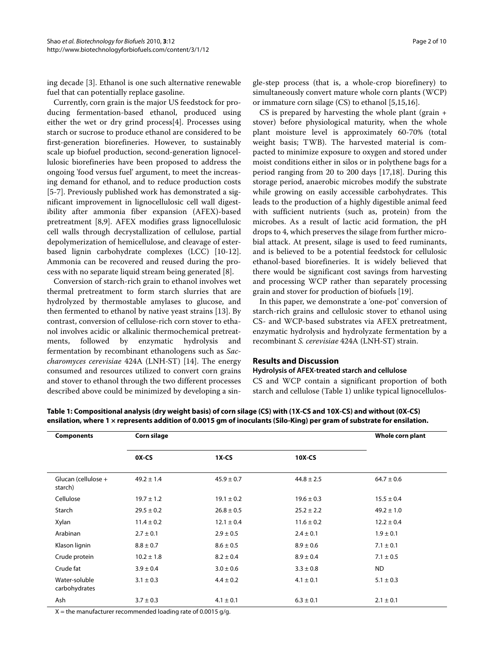ing decade [[3\]](#page-8-2). Ethanol is one such alternative renewable fuel that can potentially replace gasoline.

Currently, corn grain is the major US feedstock for producing fermentation-based ethanol, produced using either the wet or dry grind process[[4\]](#page-8-3). Processes using starch or sucrose to produce ethanol are considered to be first-generation biorefineries. However, to sustainably scale up biofuel production, second-generation lignocellulosic biorefineries have been proposed to address the ongoing 'food versus fuel' argument, to meet the increasing demand for ethanol, and to reduce production costs [[5](#page-8-4)[-7](#page-8-5)]. Previously published work has demonstrated a significant improvement in lignocellulosic cell wall digestibility after ammonia fiber expansion (AFEX)-based pretreatment [[8,](#page-8-6)[9\]](#page-8-7). AFEX modifies grass lignocellulosic cell walls through decrystallization of cellulose, partial depolymerization of hemicellulose, and cleavage of esterbased lignin carbohydrate complexes (LCC) [[10-](#page-8-8)[12](#page-8-9)]. Ammonia can be recovered and reused during the process with no separate liquid stream being generated [[8\]](#page-8-6).

Conversion of starch-rich grain to ethanol involves wet thermal pretreatment to form starch slurries that are hydrolyzed by thermostable amylases to glucose, and then fermented to ethanol by native yeast strains [\[13](#page-8-10)]. By contrast, conversion of cellulose-rich corn stover to ethanol involves acidic or alkalinic thermochemical pretreatments, followed by enzymatic hydrolysis and fermentation by recombinant ethanologens such as Saccharomyces cerevisiae 424A (LNH-ST) [\[14](#page-8-11)]. The energy consumed and resources utilized to convert corn grains and stover to ethanol through the two different processes described above could be minimized by developing a sin-

gle-step process (that is, a whole-crop biorefinery) to simultaneously convert mature whole corn plants (WCP) or immature corn silage (CS) to ethanol [[5,](#page-8-4)[15,](#page-8-12)[16\]](#page-8-13).

CS is prepared by harvesting the whole plant (grain + stover) before physiological maturity, when the whole plant moisture level is approximately 60-70% (total weight basis; TWB). The harvested material is compacted to minimize exposure to oxygen and stored under moist conditions either in silos or in polythene bags for a period ranging from 20 to 200 days [\[17](#page-8-14)[,18](#page-8-15)]. During this storage period, anaerobic microbes modify the substrate while growing on easily accessible carbohydrates. This leads to the production of a highly digestible animal feed with sufficient nutrients (such as, protein) from the microbes. As a result of lactic acid formation, the pH drops to 4, which preserves the silage from further microbial attack. At present, silage is used to feed ruminants, and is believed to be a potential feedstock for cellulosic ethanol-based biorefineries. It is widely believed that there would be significant cost savings from harvesting and processing WCP rather than separately processing grain and stover for production of biofuels [[19\]](#page-8-16).

In this paper, we demonstrate a 'one-pot' conversion of starch-rich grains and cellulosic stover to ethanol using CS- and WCP-based substrates via AFEX pretreatment, enzymatic hydrolysis and hydrolyzate fermentation by a recombinant S. cerevisiae 424A (LNH-ST) strain.

# **Results and Discussion**

#### **Hydrolysis of AFEX-treated starch and cellulose**

CS and WCP contain a significant proportion of both starch and cellulose (Table [1](#page-1-0)) unlike typical lignocellulos-

| <b>Components</b>              | <b>Corn silage</b> | Whole corn plant |                |                |
|--------------------------------|--------------------|------------------|----------------|----------------|
|                                | OX-CS              | $1X-CS$          | 10X-CS         |                |
| Glucan (cellulose +<br>starch) | $49.2 \pm 1.4$     | $45.9 \pm 0.7$   | $44.8 \pm 2.5$ | $64.7 \pm 0.6$ |
| Cellulose                      | $19.7 \pm 1.2$     | $19.1 \pm 0.2$   | $19.6 \pm 0.3$ | $15.5 \pm 0.4$ |
| Starch                         | $29.5 \pm 0.2$     | $26.8 \pm 0.5$   | $25.2 \pm 2.2$ | $49.2 \pm 1.0$ |
| Xylan                          | $11.4 \pm 0.2$     | $12.1 \pm 0.4$   | $11.6 \pm 0.2$ | $12.2 \pm 0.4$ |
| Arabinan                       | $2.7 \pm 0.1$      | $2.9 \pm 0.5$    | $2.4 \pm 0.1$  | $1.9 \pm 0.1$  |
| Klason lignin                  | $8.8 \pm 0.7$      | $8.6 \pm 0.5$    | $8.9 \pm 0.6$  | $7.1 \pm 0.1$  |
| Crude protein                  | $10.2 \pm 1.8$     | $8.2 \pm 0.4$    | $8.9 \pm 0.4$  | $7.1 \pm 0.5$  |
| Crude fat                      | $3.9 \pm 0.4$      | $3.0 \pm 0.6$    | $3.3 \pm 0.8$  | <b>ND</b>      |
| Water-soluble<br>carbohydrates | $3.1 \pm 0.3$      | $4.4 \pm 0.2$    | $4.1 \pm 0.1$  | $5.1 \pm 0.3$  |
| Ash                            | $3.7 \pm 0.3$      | $4.1 \pm 0.1$    | $6.3 \pm 0.1$  | $2.1 \pm 0.1$  |

<span id="page-1-0"></span>**Table 1: Compositional analysis (dry weight basis) of corn silage (CS) with (1X-CS and 10X-CS) and without (0X-CS) ensilation, where 1 × represents addition of 0.0015 gm of inoculants (Silo-King) per gram of substrate for ensilation.**

 $X =$  the manufacturer recommended loading rate of 0.0015 g/g.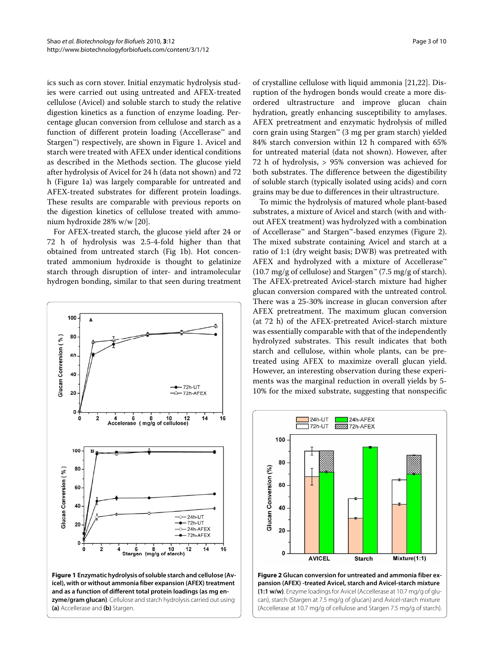ics such as corn stover. Initial enzymatic hydrolysis studies were carried out using untreated and AFEX-treated cellulose (Avicel) and soluble starch to study the relative digestion kinetics as a function of enzyme loading. Percentage glucan conversion from cellulose and starch as a function of different protein loading (Accellerase™ and Stargen™) respectively, are shown in Figure [1](#page-2-0). Avicel and starch were treated with AFEX under identical conditions as described in the Methods section. The glucose yield after hydrolysis of Avicel for 24 h (data not shown) and 72 h (Figure [1a](#page-2-0)) was largely comparable for untreated and AFEX-treated substrates for different protein loadings. These results are comparable with previous reports on the digestion kinetics of cellulose treated with ammonium hydroxide 28% w/w [[20\]](#page-8-17).

For AFEX-treated starch, the glucose yield after 24 or 72 h of hydrolysis was 2.5-4-fold higher than that obtained from untreated starch (Fig [1b](#page-2-0)). Hot concentrated ammonium hydroxide is thought to gelatinize starch through disruption of inter- and intramolecular hydrogen bonding, similar to that seen during treatment

<span id="page-2-0"></span>

**zyme/gram glucan)**. Cellulose and starch hydrolysis carried out using **(a)** Accellerase and **(b)** Stargen.

of crystalline cellulose with liquid ammonia [\[21](#page-8-18)[,22\]](#page-8-19). Disruption of the hydrogen bonds would create a more disordered ultrastructure and improve glucan chain hydration, greatly enhancing susceptibility to amylases. AFEX pretreatment and enzymatic hydrolysis of milled corn grain using Stargen™ (3 mg per gram starch) yielded 84% starch conversion within 12 h compared with 65% for untreated material (data not shown). However, after 72 h of hydrolysis, > 95% conversion was achieved for both substrates. The difference between the digestibility of soluble starch (typically isolated using acids) and corn grains may be due to differences in their ultrastructure.

To mimic the hydrolysis of matured whole plant-based substrates, a mixture of Avicel and starch (with and without AFEX treatment) was hydrolyzed with a combination of Accellerase™ and Stargen™-based enzymes (Figure [2](#page-2-1)). The mixed substrate containing Avicel and starch at a ratio of 1:1 (dry weight basis; DWB) was pretreated with AFEX and hydrolyzed with a mixture of Accellerase™  $(10.7 \text{ mg/g of cellulose})$  and Stargen<sup>™</sup>  $(7.5 \text{ mg/g of starch}).$ The AFEX-pretreated Avicel-starch mixture had higher glucan conversion compared with the untreated control. There was a 25-30% increase in glucan conversion after AFEX pretreatment. The maximum glucan conversion (at 72 h) of the AFEX-pretreated Avicel-starch mixture was essentially comparable with that of the independently hydrolyzed substrates. This result indicates that both starch and cellulose, within whole plants, can be pretreated using AFEX to maximize overall glucan yield. However, an interesting observation during these experiments was the marginal reduction in overall yields by 5- 10% for the mixed substrate, suggesting that nonspecific

<span id="page-2-1"></span>

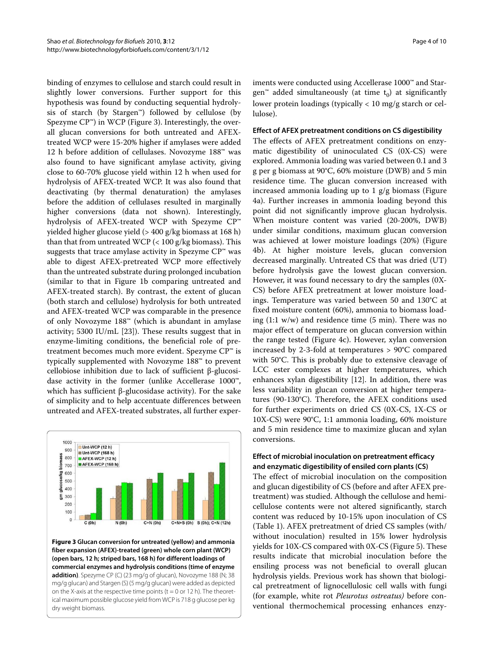binding of enzymes to cellulose and starch could result in slightly lower conversions. Further support for this hypothesis was found by conducting sequential hydrolysis of starch (by Stargen™) followed by cellulose (by Spezyme  $\mathbb{CP}^m$ ) in WCP (Figure [3](#page-3-0)). Interestingly, the overall glucan conversions for both untreated and AFEXtreated WCP were 15-20% higher if amylases were added 12 h before addition of cellulases. Novozyme 188™ was also found to have significant amylase activity, giving close to 60-70% glucose yield within 12 h when used for hydrolysis of AFEX-treated WCP. It was also found that deactivating (by thermal denaturation) the amylases before the addition of cellulases resulted in marginally higher conversions (data not shown). Interestingly, hydrolysis of AFEX-treated WCP with Spezyme CP™ yielded higher glucose yield (> 400 g/kg biomass at 168 h) than that from untreated WCP  $(< 100 \text{ g/kg}$  biomass). This suggests that trace amylase activity in Spezyme  $\mathbb{CP}^*$  was able to digest AFEX-pretreated WCP more effectively than the untreated substrate during prolonged incubation (similar to that in Figure [1](#page-2-0)b comparing untreated and AFEX-treated starch). By contrast, the extent of glucan (both starch and cellulose) hydrolysis for both untreated and AFEX-treated WCP was comparable in the presence of only Novozyme 188™ (which is abundant in amylase activity; 5300 IU/mL [[23](#page-8-20)]). These results suggest that in enzyme-limiting conditions, the beneficial role of pretreatment becomes much more evident. Spezyme CP™ is typically supplemented with Novozyme 188™ to prevent cellobiose inhibition due to lack of sufficient β-glucosidase activity in the former (unlike Accellerase 1000™, which has sufficient β-glucosidase activity). For the sake of simplicity and to help accentuate differences between untreated and AFEX-treated substrates, all further exper-

<span id="page-3-0"></span>

**Figure 3 Glucan conversion for untreated (yellow) and ammonia fiber expansion (AFEX)-treated (green) whole corn plant (WCP) (open bars, 12 h; striped bars, 168 h) for different loadings of commercial enzymes and hydrolysis conditions (time of enzyme addition)**. Spezyme CP (C) (23 mg/g of glucan), Novozyme 188 (N; 38 mg/g glucan) and Stargen (S) (5 mg/g glucan) were added as depicted on the X-axis at the respective time points ( $t = 0$  or 12 h). The theoretical maximum possible glucose yield from WCP is 718 g glucose per kg dry weight biomass.

iments were conducted using Accellerase 1000™ and Stargen™ added simultaneously (at time  $\mathrm{t}_0$ ) at significantly lower protein loadings (typically < 10 mg/g starch or cellulose).

#### **Effect of AFEX pretreatment conditions on CS digestibility**

The effects of AFEX pretreatment conditions on enzymatic digestibility of uninoculated CS (0X-CS) were explored. Ammonia loading was varied between 0.1 and 3 g per g biomass at 90°C, 60% moisture (DWB) and 5 min residence time. The glucan conversion increased with increased ammonia loading up to 1 g/g biomass (Figure [4a](#page-4-0)). Further increases in ammonia loading beyond this point did not significantly improve glucan hydrolysis. When moisture content was varied (20-200%, DWB) under similar conditions, maximum glucan conversion was achieved at lower moisture loadings (20%) (Figure [4b](#page-4-0)). At higher moisture levels, glucan conversion decreased marginally. Untreated CS that was dried (UT) before hydrolysis gave the lowest glucan conversion. However, it was found necessary to dry the samples (0X-CS) before AFEX pretreatment at lower moisture loadings. Temperature was varied between 50 and 130°C at fixed moisture content (60%), ammonia to biomass loading (1:1 w/w) and residence time (5 min). There was no major effect of temperature on glucan conversion within the range tested (Figure [4](#page-4-0)c). However, xylan conversion increased by 2-3-fold at temperatures > 90°C compared with 50°C. This is probably due to extensive cleavage of LCC ester complexes at higher temperatures, which enhances xylan digestibility [\[12](#page-8-9)]. In addition, there was less variability in glucan conversion at higher temperatures (90-130°C). Therefore, the AFEX conditions used for further experiments on dried CS (0X-CS, 1X-CS or 10X-CS) were 90°C, 1:1 ammonia loading, 60% moisture and 5 min residence time to maximize glucan and xylan conversions.

# **Effect of microbial inoculation on pretreatment efficacy and enzymatic digestibility of ensiled corn plants (CS)**

The effect of microbial inoculation on the composition and glucan digestibility of CS (before and after AFEX pretreatment) was studied. Although the cellulose and hemicellulose contents were not altered significantly, starch content was reduced by 10-15% upon inoculation of CS (Table 1). AFEX pretreatment of dried CS samples (with/ without inoculation) resulted in 15% lower hydrolysis yields for 10X-CS compared with 0X-CS (Figure [5](#page-4-1)). These results indicate that microbial inoculation before the ensiling process was not beneficial to overall glucan hydrolysis yields. Previous work has shown that biological pretreatment of lignocellulosic cell walls with fungi (for example, white rot Pleurotus ostreatus) before conventional thermochemical processing enhances enzy-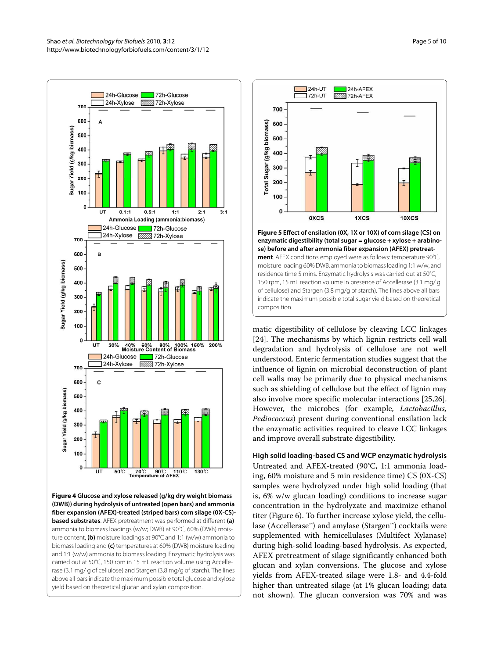<span id="page-4-0"></span>

**Figure 4 Glucose and xylose released (g/kg dry weight biomass (DWB)) during hydrolysis of untreated (open bars) and ammonia fiber expansion (AFEX)-treated (striped bars) corn silage (0X-CS) based substrates**. AFEX pretreatment was performed at different **(a)**  ammonia to biomass loadings (w/w; DWB) at 90°C, 60% (DWB) moisture content, **(b)** moisture loadings at 90°C and 1:1 (w/w) ammonia to biomass loading and **(c)** temperatures at 60% (DWB) moisture loading and 1:1 (w/w) ammonia to biomass loading. Enzymatic hydrolysis was carried out at 50°C, 150 rpm in 15 mL reaction volume using Accellerase (3.1 mg/ g of cellulose) and Stargen (3.8 mg/g of starch). The lines above all bars indicate the maximum possible total glucose and xylose yield based on theoretical glucan and xylan composition.

<span id="page-4-1"></span>

residence time 5 mins. Enzymatic hydrolysis was carried out at 50°C, 150 rpm, 15 mL reaction volume in presence of Accellerase (3.1 mg/ g of cellulose) and Stargen (3.8 mg/g of starch). The lines above all bars indicate the maximum possible total sugar yield based on theoretical composition.

matic digestibility of cellulose by cleaving LCC linkages [[24\]](#page-8-21). The mechanisms by which lignin restricts cell wall degradation and hydrolysis of cellulose are not well understood. Enteric fermentation studies suggest that the influence of lignin on microbial deconstruction of plant cell walls may be primarily due to physical mechanisms such as shielding of cellulose but the effect of lignin may also involve more specific molecular interactions [\[25](#page-8-22)[,26](#page-8-23)]. However, the microbes (for example, Lactobacillus, Pediococcus) present during conventional ensilation lack the enzymatic activities required to cleave LCC linkages and improve overall substrate digestibility.

**High solid loading-based CS and WCP enzymatic hydrolysis** Untreated and AFEX-treated (90°C, 1:1 ammonia loading, 60% moisture and 5 min residence time) CS (0X-CS) samples were hydrolyzed under high solid loading (that is, 6% w/w glucan loading) conditions to increase sugar concentration in the hydrolyzate and maximize ethanol titer (Figure [6\)](#page-5-0). To further increase xylose yield, the cellulase (Accellerase™) and amylase (Stargen™) cocktails were supplemented with hemicellulases (Multifect Xylanase) during high-solid loading-based hydrolysis. As expected, AFEX pretreatment of silage significantly enhanced both glucan and xylan conversions. The glucose and xylose yields from AFEX-treated silage were 1.8- and 4.4-fold higher than untreated silage (at 1% glucan loading; data not shown). The glucan conversion was 70% and was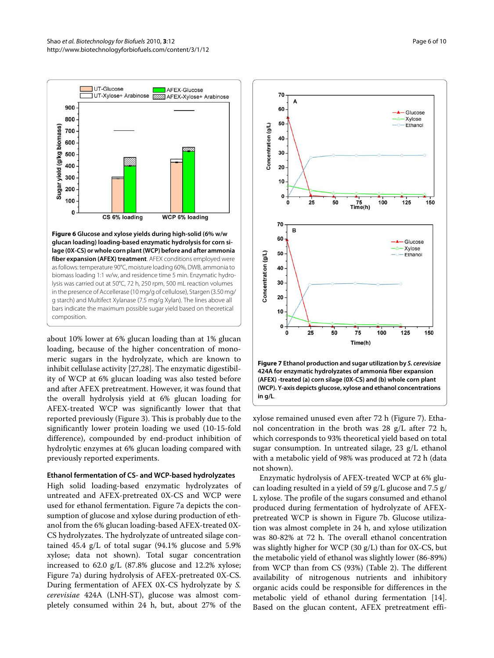<span id="page-5-0"></span>

**fiber expansion (AFEX) treatment**. AFEX conditions employed were as follows: temperature 90°C, moisture loading 60%, DWB, ammonia to biomass loading 1:1 w/w, and residence time 5 min. Enzymatic hydrolysis was carried out at 50°C, 72 h, 250 rpm, 500 mL reaction volumes in the presence of Accellerase (10 mg/g of cellulose), Stargen (3.50 mg/ g starch) and Multifect Xylanase (7.5 mg/g Xylan). The lines above all bars indicate the maximum possible sugar yield based on theoretical composition.

about 10% lower at 6% glucan loading than at 1% glucan loading, because of the higher concentration of monomeric sugars in the hydrolyzate, which are known to inhibit cellulase activity [[27,](#page-8-24)[28\]](#page-8-25). The enzymatic digestibility of WCP at 6% glucan loading was also tested before and after AFEX pretreatment. However, it was found that the overall hydrolysis yield at 6% glucan loading for AFEX-treated WCP was significantly lower that that reported previously (Figure [3](#page-3-0)). This is probably due to the significantly lower protein loading we used (10-15-fold difference), compounded by end-product inhibition of hydrolytic enzymes at 6% glucan loading compared with previously reported experiments.

## **Ethanol fermentation of CS- and WCP-based hydrolyzates**

High solid loading-based enzymatic hydrolyzates of untreated and AFEX-pretreated 0X-CS and WCP were used for ethanol fermentation. Figure [7](#page-5-1)a depicts the consumption of glucose and xylose during production of ethanol from the 6% glucan loading-based AFEX-treated 0X-CS hydrolyzates. The hydrolyzate of untreated silage contained 45.4 g/L of total sugar (94.1% glucose and 5.9% xylose; data not shown). Total sugar concentration increased to 62.0 g/L (87.8% glucose and 12.2% xylose; Figure [7a](#page-5-1)) during hydrolysis of AFEX-pretreated 0X-CS. During fermentation of AFEX 0X-CS hydrolyzate by S. cerevisiae 424A (LNH-ST), glucose was almost completely consumed within 24 h, but, about 27% of the

<span id="page-5-1"></span>

xylose remained unused even after 72 h (Figure [7](#page-5-1)). Ethanol concentration in the broth was 28 g/L after 72 h, which corresponds to 93% theoretical yield based on total sugar consumption. In untreated silage, 23 g/L ethanol with a metabolic yield of 98% was produced at 72 h (data not shown).

Enzymatic hydrolysis of AFEX-treated WCP at 6% glucan loading resulted in a yield of 59 g/L glucose and 7.5 g/ L xylose. The profile of the sugars consumed and ethanol produced during fermentation of hydrolyzate of AFEXpretreated WCP is shown in Figure [7](#page-5-1)b. Glucose utilization was almost complete in 24 h, and xylose utilization was 80-82% at 72 h. The overall ethanol concentration was slightly higher for WCP (30 g/L) than for 0X-CS, but the metabolic yield of ethanol was slightly lower (86-89%) from WCP than from CS (93%) (Table 2). The different availability of nitrogenous nutrients and inhibitory organic acids could be responsible for differences in the metabolic yield of ethanol during fermentation [\[14](#page-8-11)]. Based on the glucan content, AFEX pretreatment effi-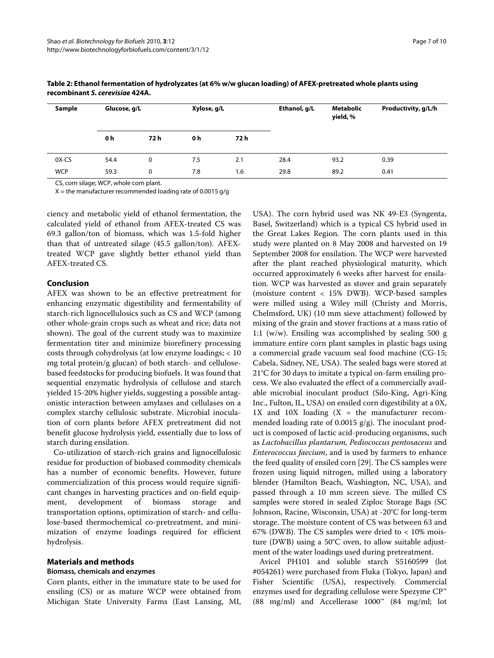| Sample     | Glucose, g/L |      | Xylose, g/L |      | Ethanol, g/L | <b>Metabolic</b><br>yield, % | Productivity, g/L/h |
|------------|--------------|------|-------------|------|--------------|------------------------------|---------------------|
|            | 0 h          | 72 h | 0 h         | 72 h |              |                              |                     |
| 0X-CS      | 54.4         | 0    | 7.5         | 2.1  | 28.4         | 93.2                         | 0.39                |
| <b>WCP</b> | 59.3         | 0    | 7.8         | 1.6  | 29.8         | 89.2                         | 0.41                |

## **Table 2: Ethanol fermentation of hydrolyzates (at 6% w/w glucan loading) of AFEX-pretreated whole plants using recombinant S. cerevisiae 424A.**

CS, corn silage; WCP, whole corn plant.

 $X =$  the manufacturer recommended loading rate of 0.0015 g/g

ciency and metabolic yield of ethanol fermentation, the calculated yield of ethanol from AFEX-treated CS was 69.3 gallon/ton of biomass, which was 1.5-fold higher than that of untreated silage (45.5 gallon/ton). AFEXtreated WCP gave slightly better ethanol yield than AFEX-treated CS.

# **Conclusion**

AFEX was shown to be an effective pretreatment for enhancing enzymatic digestibility and fermentability of starch-rich lignocellulosics such as CS and WCP (among other whole-grain crops such as wheat and rice; data not shown). The goal of the current study was to maximize fermentation titer and minimize biorefinery processing costs through cohydrolysis (at low enzyme loadings; < 10 mg total protein/g glucan) of both starch- and cellulosebased feedstocks for producing biofuels. It was found that sequential enzymatic hydrolysis of cellulose and starch yielded 15-20% higher yields, suggesting a possible antagonistic interaction between amylases and cellulases on a complex starchy cellulosic substrate. Microbial inoculation of corn plants before AFEX pretreatment did not benefit glucose hydrolysis yield, essentially due to loss of starch during ensilation.

Co-utilization of starch-rich grains and lignocellulosic residue for production of biobased commodity chemicals has a number of economic benefits. However, future commercialization of this process would require significant changes in harvesting practices and on-field equipment, development of biomass storage and transportation options, optimization of starch- and cellulose-based thermochemical co-pretreatment, and minimization of enzyme loadings required for efficient hydrolysis.

# **Materials and methods**

### **Biomass, chemicals and enzymes**

Corn plants, either in the immature state to be used for ensiling (CS) or as mature WCP were obtained from Michigan State University Farms (East Lansing, MI,

USA). The corn hybrid used was NK 49-E3 (Syngenta, Basel, Switzerland) which is a typical CS hybrid used in the Great Lakes Region. The corn plants used in this study were planted on 8 May 2008 and harvested on 19 September 2008 for ensilation. The WCP were harvested after the plant reached physiological maturity, which occurred approximately 6 weeks after harvest for ensilation. WCP was harvested as stover and grain separately (moisture content < 15% DWB). WCP-based samples were milled using a Wiley mill (Christy and Morris, Chelmsford, UK) (10 mm sieve attachment) followed by mixing of the grain and stover fractions at a mass ratio of 1:1 (w/w). Ensiling was accomplished by sealing 500 g immature entire corn plant samples in plastic bags using a commercial grade vacuum seal food machine (CG-15; Cabela, Sidney, NE, USA). The sealed bags were stored at 21°C for 30 days to imitate a typical on-farm ensiling process. We also evaluated the effect of a commercially available microbial inoculant product (Silo-King, Agri-King Inc., Fulton, IL, USA) on ensiled corn digestibility at a 0X,  $1X$  and  $10X$  loading  $(X =$  the manufacturer recommended loading rate of 0.0015  $g/g$ ). The inoculant product is composed of lactic acid-producing organisms, such as Lactobacillus plantarum, Pediococcus pentosaceus and Enterococcus faecium, and is used by farmers to enhance the feed quality of ensiled corn [[29](#page-8-26)]. The CS samples were frozen using liquid nitrogen, milled using a laboratory blender (Hamilton Beach, Washington, NC, USA), and passed through a 10 mm screen sieve. The milled CS samples were stored in sealed Ziploc Storage Bags (SC Johnson, Racine, Wisconsin, USA) at -20°C for long-term storage. The moisture content of CS was between 63 and 67% (DWB). The CS samples were dried to  $< 10\%$  moisture (DWB) using a 50°C oven, to allow suitable adjustment of the water loadings used during pretreatment.

Avicel PH101 and soluble starch S5160599 (lot #054261) were purchased from Fluka (Tokyo, Japan) and Fisher Scientific (USA), respectively. Commercial enzymes used for degrading cellulose were Spezyme CP™ (88 mg/ml) and Accellerase 1000™ (84 mg/ml; lot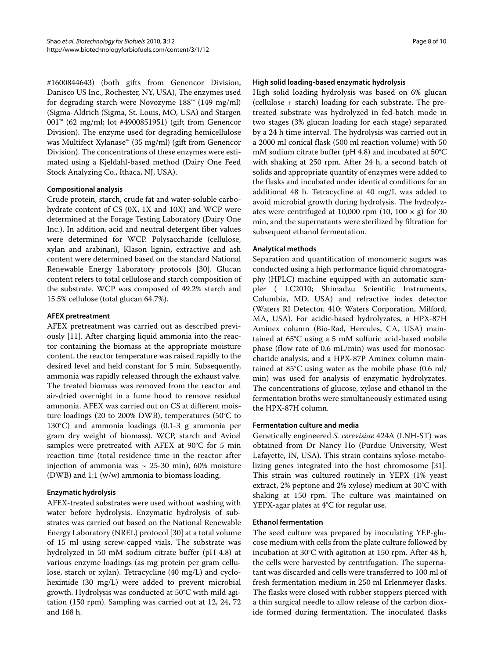#1600844643) (both gifts from Genencor Division, Danisco US Inc., Rochester, NY, USA), The enzymes used for degrading starch were Novozyme 188™ (149 mg/ml) (Sigma-Aldrich (Sigma, St. Louis, MO, USA) and Stargen 001™ (62 mg/ml; lot #4900851951) (gift from Genencor Division). The enzyme used for degrading hemicellulose was Multifect Xylanase™ (35 mg/ml) (gift from Genencor Division). The concentrations of these enzymes were estimated using a Kjeldahl-based method (Dairy One Feed Stock Analyzing Co., Ithaca, NJ, USA).

# **Compositional analysis**

Crude protein, starch, crude fat and water-soluble carbohydrate content of CS (0X, 1X and 10X) and WCP were determined at the Forage Testing Laboratory (Dairy One Inc.). In addition, acid and neutral detergent fiber values were determined for WCP. Polysaccharide (cellulose, xylan and arabinan), Klason lignin, extractive and ash content were determined based on the standard National Renewable Energy Laboratory protocols [[30\]](#page-8-27). Glucan content refers to total cellulose and starch composition of the substrate. WCP was composed of 49.2% starch and 15.5% cellulose (total glucan 64.7%).

# **AFEX pretreatment**

AFEX pretreatment was carried out as described previously [\[11](#page-8-28)]. After charging liquid ammonia into the reactor containing the biomass at the appropriate moisture content, the reactor temperature was raised rapidly to the desired level and held constant for 5 min. Subsequently, ammonia was rapidly released through the exhaust valve. The treated biomass was removed from the reactor and air-dried overnight in a fume hood to remove residual ammonia. AFEX was carried out on CS at different moisture loadings (20 to 200% DWB), temperatures (50°C to 130°C) and ammonia loadings (0.1-3 g ammonia per gram dry weight of biomass). WCP, starch and Avicel samples were pretreated with AFEX at 90°C for 5 min reaction time (total residence time in the reactor after injection of ammonia was  $\sim$  25-30 min), 60% moisture (DWB) and 1:1 (w/w) ammonia to biomass loading.

# **Enzymatic hydrolysis**

AFEX-treated substrates were used without washing with water before hydrolysis. Enzymatic hydrolysis of substrates was carried out based on the National Renewable Energy Laboratory (NREL) protocol [\[30\]](#page-8-27) at a total volume of 15 ml using screw-capped vials. The substrate was hydrolyzed in 50 mM sodium citrate buffer (pH 4.8) at various enzyme loadings (as mg protein per gram cellulose, starch or xylan). Tetracycline (40 mg/L) and cycloheximide (30 mg/L) were added to prevent microbial growth. Hydrolysis was conducted at 50°C with mild agitation (150 rpm). Sampling was carried out at 12, 24, 72 and 168 h.

# **High solid loading-based enzymatic hydrolysis**

High solid loading hydrolysis was based on 6% glucan (cellulose + starch) loading for each substrate. The pretreated substrate was hydrolyzed in fed-batch mode in two stages (3% glucan loading for each stage) separated by a 24 h time interval. The hydrolysis was carried out in a 2000 ml conical flask (500 ml reaction volume) with 50 mM sodium citrate buffer (pH 4.8) and incubated at 50°C with shaking at 250 rpm. After 24 h, a second batch of solids and appropriate quantity of enzymes were added to the flasks and incubated under identical conditions for an additional 48 h. Tetracycline at 40 mg/L was added to avoid microbial growth during hydrolysis. The hydrolyzates were centrifuged at 10,000 rpm (10, 100  $\times$  g) for 30 min, and the supernatants were sterilized by filtration for subsequent ethanol fermentation.

# **Analytical methods**

Separation and quantification of monomeric sugars was conducted using a high performance liquid chromatography (HPLC) machine equipped with an automatic sampler ( LC2010; Shimadzu Scientific Instruments, Columbia, MD, USA) and refractive index detector (Waters RI Detector, 410; Waters Corporation, Milford, MA, USA). For acidic-based hydrolyzates, a HPX-87H Aminex column (Bio-Rad, Hercules, CA, USA) maintained at 65°C using a 5 mM sulfuric acid-based mobile phase (flow rate of 0.6 mL/min) was used for monosaccharide analysis, and a HPX-87P Aminex column maintained at 85°C using water as the mobile phase (0.6 ml/ min) was used for analysis of enzymatic hydrolyzates. The concentrations of glucose, xylose and ethanol in the fermentation broths were simultaneously estimated using the HPX-87H column.

# **Fermentation culture and media**

Genetically engineered S. cerevisiae 424A (LNH-ST) was obtained from Dr Nancy Ho (Purdue University, West Lafayette, IN, USA). This strain contains xylose-metabolizing genes integrated into the host chromosome [\[31](#page-9-0)]. This strain was cultured routinely in YEPX (1% yeast extract, 2% peptone and 2% xylose) medium at 30°C with shaking at 150 rpm. The culture was maintained on YEPX-agar plates at 4°C for regular use.

# **Ethanol fermentation**

The seed culture was prepared by inoculating YEP-glucose medium with cells from the plate culture followed by incubation at 30°C with agitation at 150 rpm. After 48 h, the cells were harvested by centrifugation. The supernatant was discarded and cells were transferred to 100 ml of fresh fermentation medium in 250 ml Erlenmeyer flasks. The flasks were closed with rubber stoppers pierced with a thin surgical needle to allow release of the carbon dioxide formed during fermentation. The inoculated flasks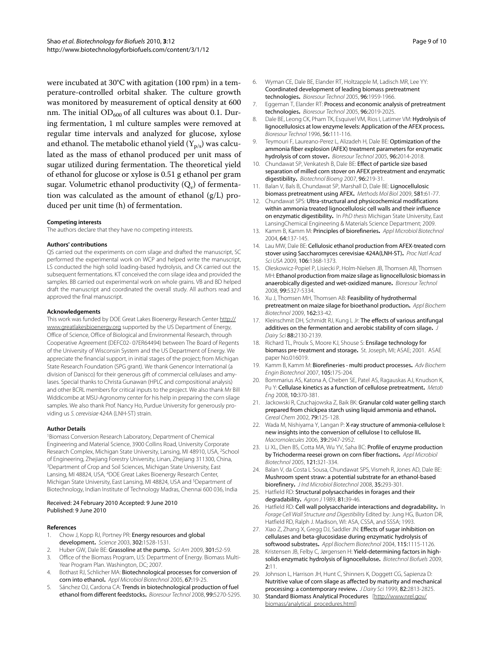were incubated at 30°C with agitation (100 rpm) in a temperature-controlled orbital shaker. The culture growth was monitored by measurement of optical density at 600 nm. The initial  $OD_{600}$  of all cultures was about 0.1. During fermentation, 1 ml culture samples were removed at regular time intervals and analyzed for glucose, xylose and ethanol. The metabolic ethanol yield  $(Y_{p/s})$  was calculated as the mass of ethanol produced per unit mass of sugar utilized during fermentation. The theoretical yield of ethanol for glucose or xylose is 0.51 g ethanol per gram sugar. Volumetric ethanol productivity  $(Q_v)$  of fermentation was calculated as the amount of ethanol (g/L) produced per unit time (h) of fermentation.

#### **Competing interests**

The authors declare that they have no competing interests.

#### **Authors' contributions**

QS carried out the experiments on corn silage and drafted the manuscript, SC performed the experimental work on WCP and helped write the manuscript, LS conducted the high solid loading-based hydrolysis, and CK carried out the subsequent fermentations. KT conceived the corn silage idea and provided the samples. BB carried out experimental work on whole grains. VB and BD helped draft the manuscript and coordinated the overall study. All authors read and approved the final manuscript.

#### **Acknowledgements**

This work was funded by DOE Great Lakes Bioenergy Research Center [http://](http://www.greatlakesbioenergy.org) [www.greatlakesbioenergy.org](http://www.greatlakesbioenergy.org) supported by the US Department of Energy, Office of Science, Office of Biological and Environmental Research, through Cooperative Agreement (DEFC02- 07ER64494) between The Board of Regents of the University of Wisconsin System and the US Department of Energy. We appreciate the financial support, in initial stages of the project; from Michigan State Research Foundation (SPG grant). We thank Genencor International (a division of Danisco) for their generous gift of commercial cellulases and amylases. Special thanks to Christa Gunawan (HPLC and compositional analysis) and other BCRL members for critical inputs to the project. We also thank Mr Bill Widdicombe at MSU-Agronomy center for his help in preparing the corn silage samples. We also thank Prof. Nancy Ho, Purdue University for generously providing us S. cerevisiae 424A (LNH-ST) strain.

#### **Author Details**

<sup>1</sup>Biomass Conversion Research Laboratory, Department of Chemical Engineering and Material Science, 3900 Collins Road, University Corporate Research Complex, Michigan State University, Lansing, MI 48910, USA, <sup>2</sup>School of Engineering, Zhejiang Forestry University, Linan, Zhejiang 311300, China, <sup>3</sup>Department of Crop and Soil Sciences, Michigan State University, East Lansing, MI 48824, USA, <sup>4</sup>DOE Great Lakes Bioenergy Research Center, Michigan State University, East Lansing, MI 48824, USA and <sup>5</sup>Department of Biotechnology, Indian Institute of Technology Madras, Chennai 600 036, India

#### Received: 24 February 2010 Accepted: 9 June 2010 Published: 9 June 2010

#### **References**

- <span id="page-8-0"></span>1. Chow J, Kopp RJ, Portney PR: Energy resources and global development**.** Science 2003, 302:1528-1531.
- <span id="page-8-1"></span>2. Huber GW, Dale BE: Grassoline at the pump**.** Sci Am 2009, 301:52-59.
- <span id="page-8-2"></span>3. Office of the Biomass Program, U.S: Department of Energy. Biomass Multi-Year Program Plan. Washington, DC; 2007.
- <span id="page-8-3"></span>4. Bothast RJ, Schlicher MA: Biotechnological processes for conversion of corn into ethanol**[.](http://www.ncbi.nlm.nih.gov/entrez/query.fcgi?cmd=Retrieve&db=PubMed&dopt=Abstract&list_uids=15599517)** Appl Microbiol Biotechnol 2005, 67:19-25.
- <span id="page-8-4"></span>5. Sánchez OJ, Cardona CA: Trends in biotechnological production of fuel ethanol from different feedstocks**.** Bioresour Technol 2008, 99:5270-5295.
- 6. Wyman CE, Dale BE, Elander RT, Holtzapple M, Ladisch MR, Lee YY: Coordinated development of leading biomass pretreatment technologies**.** Bioresour Technol 2005, 96:1959-1966.
- <span id="page-8-5"></span>7. Eggeman T, Elander RT: Process and economic analysis of pretreatment technologies**.** Bioresour Technol 2005, 96:2019-2025.
- <span id="page-8-6"></span>8. Dale BE, Leong CK, Pham TK, Esquivel VM, Rios I, Latimer VM: Hydrolysis of lignocellulosics at low enzyme levels: Application of the AFEX process**.** Bioresour Technol 1996, 56:111-116.
- <span id="page-8-7"></span>9. Teymouri F, Laureano-Perez L, Alizadeh H, Dale BE: Optimization of the ammonia fiber explosion (AFEX) treatment parameters for enzymatic hydrolysis of corn stover**.** Bioresour Technol 2005, 96:2014-2018.
- <span id="page-8-8"></span>10. Chundawat SP, Venkatesh B, Dale BE: Effect of particle size based separation of milled corn stover on AFEX pretreatment and enzymatic digestibility**[.](http://www.ncbi.nlm.nih.gov/entrez/query.fcgi?cmd=Retrieve&db=PubMed&dopt=Abstract&list_uids=16903002)** Biotechnol Bioeng 2007, 96:219-31.
- <span id="page-8-28"></span>11. Balan V, Bals B, Chundawat SP, Marshall D, Dale BE: Lignocellulosic biomass pretreatment using AFEX**[.](http://www.ncbi.nlm.nih.gov/entrez/query.fcgi?cmd=Retrieve&db=PubMed&dopt=Abstract&list_uids=19768616)** Methods Mol Biol 2009, 581:61-77.
- <span id="page-8-9"></span>12. Chundawat SPS: Ultra-structural and physicochemical modifications within ammonia treated lignocellulosic cell walls and their influence on enzymatic digestibility**.** In PhD thesis Michigan State University, East LansingChemical Engineering & Materials Science Department; 2009.
- <span id="page-8-10"></span>13. Kamm B, Kamm M: Principles of biorefineries**[.](http://www.ncbi.nlm.nih.gov/entrez/query.fcgi?cmd=Retrieve&db=PubMed&dopt=Abstract&list_uids=14749903)** Appl Microbiol Biotechnol 2004, 64:137-145.
- <span id="page-8-11"></span>14. Lau MW, Dale BE: Cellulosic ethanol production from AFEX-treated corn stover using Saccharomyces cerevisiae 424A(LNH-ST)**.** Proc Natl Acad Sci USA 2009, **106:**1368-1373.
- <span id="page-8-12"></span>15. Oleskowicz-Popiel P, Lisiecki P, Holm-Nielsen JB, Thomsen AB, Thomsen MH: Ethanol production from maize silage as lignocellulosic biomass in anaerobically digested and wet-oxidized manure**.** Bioresour Technol 2008, 99:5327-5334.
- <span id="page-8-13"></span>16. Xu J, Thomsen MH, Thomsen AB: Feasibility of hydrothermal pretreatment on maize silage for bioethanol production**.** Appl Biochem Biotechnol 2009, 162:33-42.
- <span id="page-8-14"></span>17. Kleinschmit DH, Schmidt RJ, Kung L Jr: The effects of various antifungal additives on the fermentation and aerobic stability of corn silage**.** J Dairy Sci 88:2130-2139.
- <span id="page-8-15"></span>18. Richard TL, Proulx S, Moore KJ, Shouse S: Ensilage technology for biomass pre-treatment and storage**.** St. Joseph, MI; ASAE; 2001. ASAE paper No.016019.
- <span id="page-8-16"></span>19. Kamm B, Kamm M: Biorefineries - multi product processes**.** Adv Biochem Engin Biotechnol 2007, 105:175-204.
- <span id="page-8-17"></span>20. Bommarius AS, Katona A, Cheben SE, Patel AS, Ragauskas AJ, Knudson K, Pu Y: Cellulase kinetics as a function of cellulose pretreatment**[.](http://www.ncbi.nlm.nih.gov/entrez/query.fcgi?cmd=Retrieve&db=PubMed&dopt=Abstract&list_uids=18647658)** Metab Eng 2008, 10:370-381.
- <span id="page-8-18"></span>21. Jackowski R, Czuchajowska Z, Baik BK: Granular cold water gelling starch prepared from chickpea starch using liquid ammonia and ethanol**.** Cereal Chem 2002, 79:125-128.
- <span id="page-8-19"></span>22. Wada M, Nishiyama Y, Langan P: X-ray structure of ammonia-cellulose I: new insights into the conversion of cellulose I to cellulose III**.** Macromolecules 2006, 39:2947-2952.
- <span id="page-8-20"></span>23. Li XL, Dien BS, Cotta MA, Wu YV, Saha BC: Profile of enzyme production by Trichoderma reesei grown on corn fiber fractions**.** Appl Microbiol Biotechnol 2005, 121:321-334.
- <span id="page-8-21"></span>24. Balan V, da Costa L Sousa, Chundawat SPS, Vismeh R, Jones AD, Dale BE: Mushroom spent straw: a potential substrate for an ethanol-based biorefinery**.** J Ind Microbiol Biotechnol 2008, 35:293-301.
- <span id="page-8-22"></span>25. Hatfield RD: Structural polysaccharides in forages and their degradability**.** Agron J 1989, 81:39-46.
- <span id="page-8-23"></span>26. Hatfield RD: Cell wall polysaccharide interactions and degradability**.** In Forage Cell Wall Structure and Digestibility Edited by: Jung HG, Buxton DR, Hatfield RD, Ralph J. Madison, WI: ASA, CSSA, and SSSA; 1993.
- <span id="page-8-24"></span>27. Xiao Z, Zhang X, Gregg DJ, Saddler JN: Effects of sugar inhibition on cellulases and beta-glucosidase during enzymatic hydrolysis of softwood substrates. Appl Biochem Biotechnol 2004, 115:1115-1126.
- <span id="page-8-25"></span>28. Kristensen JB, Felby C, Jørgensen H: Yield-determining factors in highsolids enzymatic hydrolysis of lignocellulose**.** Biotechnol Biofuels 2009, 2:11.
- <span id="page-8-26"></span>29. Johnson L, Harrison JH, Hunt C, Shinners K, Doggett CG, Sapienza D: Nutritive value of corn silage as affected by maturity and mechanical processing: a contemporary review**.** J Dairy Sci 1999, 82:2813-2825.
- <span id="page-8-27"></span>30. Standard Biomass Analytical Procedures [[http://www.nrel.gov/](http://www.nrel.gov/biomass/analytical_procedures.html) [biomass/analytical\\_procedures.html\]](http://www.nrel.gov/biomass/analytical_procedures.html)